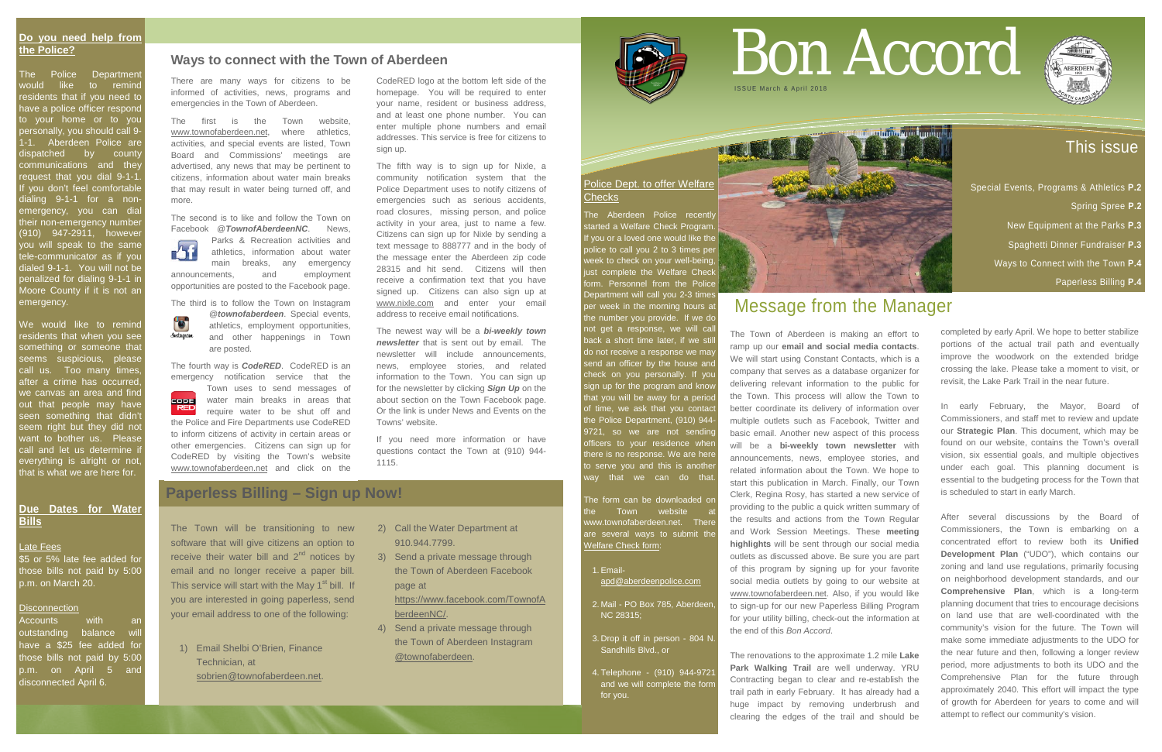# This issue

- Special Events, Programs & Athletics **P.2**
	- Spring Spree **P.2**
	- New Equipment at the Parks **P.3**
	- Spaghetti Dinner Fundraiser **P.3**
	- Ways to Connect with the Town **P.4**
		- Paperless Billing **P.4**

### **Do you need help from the Police?**

The Police Department vould like to remind residents that if you need to have a police officer respond to your home or to you personally, you should call 9- 1-1. Aberdeen Police are dispatched by county communications and they request that you dial 9-1-1. If you don't feel comfortable dialing 9-1-1 for a nonemergency, you can dial their non-emergency number (910) 947-2911, however you will speak to the same ele-communicator as if you dialed 9-1-1. You will not be penalized for dialing 9-1-1 in Moore County if it is not an emergency.

Accounts with an outstanding balance will have a \$25 fee added for those bills not paid by 5:00 p.m. on April 5 and disconnected April 6.

# Police Dept. to offer Welfare **Checks**

The Aberdeen Police recently started a Welfare Check Program. If you or a loved one would like the police to call you 2 to 3 times per veek to check on your well-being just complete the [Welfare Check](https://aberdeen.municipalcms.com/docview.aspx?docid=1630)  [form.](https://aberdeen.municipalcms.com/docview.aspx?docid=1630) Personnel from the Police Department will call you 2-3 times per week in the morning hours at the number you provide. If we do not get a response, we will call ack a short time later, if we still do not receive a response we may send an officer by the house and check on you personally. If you sign up for the program and know that you will be away for a period of time, we ask that you contact the Police Department, (910) 944- 9721, so we are not sending officers to your residence when there is no response. We are here to serve you and this is anothe way that we can do that

We would like to remind residents that when you see something or someone that seems suspicious, please call us. Too many times after a crime has occurred, we canvas an area and find out that people may have seen something that didn't seem right but they did not want to bother us. Please call and let us determine i everything is alright or not, that is what we are here for.

# **Due Dates for Water Bills**

#### Late Fees

The form can be downloaded or Town website www.townofaberdeen.net. There are several ways to submit the [Welfare Check form:](https://aberdeen.municipalcms.com/docview.aspx?docid=1630)

\$5 or 5% late fee added for those bills not paid by 5:00 p.m. on March 20.

#### Disconnection

# Bon Accord **ISSUE March & April**

- 1.Email[apd@aberdeenpolice.com](mailto:apd@aberdeenpolice.com)
- 2. Mail PO Box 785, Aberdeen, NC 28315;
- 3. Drop it off in person 804 N. Sandhills Blvd., or
- 4. Telephone (910) 944-9721 and we will complete the form for you.



# Message from the Manager

The Town of Aberdeen is making an effort to ramp up our **email and social media contacts**. We will start using Constant Contacts, which is a company that serves as a database organizer for delivering relevant information to the public for the Town. This process will allow the Town to better coordinate its delivery of information over multiple outlets such as Facebook, Twitter and basic email. Another new aspect of this process will be a **bi-weekly town newsletter** with announcements, news, employee stories, and related information about the Town. We hope to start this publication in March. Finally, our Town Clerk, Regina Rosy, has started a new service of providing to the public a quick written summary of the results and actions from the Town Regular and Work Session Meetings. These **meeting highlights** will be sent through our social media outlets as discussed above. Be sure you are part of this program by signing up for your favorite social media outlets by going to our website at [www.townofaberdeen.net.](http://www.townofaberdeen.net/) Also, if you would like to sign-up for our new Paperless Billing Program for your utility billing, check-out the information at the end of this *Bon Accord*.

Parks & Recreation activities and<br>athletics, information about water athletics, information about water main breaks, any emergency announcements, and employment opportunities are posted to the Facebook page.

**@** *townofaberdeen*. Special events,<br>athletics. employment opportunities. athletics, employment opportunities, **Androprism** and other happenings in Town are posted.

> The renovations to the approximate 1.2 mile **Lake Park Walking Trail** are well underway. YRU Contracting began to clear and re-establish the trail path in early February. It has already had a huge impact by removing underbrush and clearing the edges of the trail and should be



completed by early April. We hope to better stabilize portions of the actual trail path and eventually improve the woodwork on the extended bridge crossing the lake. Please take a moment to visit, or revisit, the Lake Park Trail in the near future.

In early February, the Mayor, Board of Commissioners, and staff met to review and update our **Strategic Plan**. This document, which may be found on our website, contains the Town's overall vision, six essential goals, and multiple objectives under each goal. This planning document is essential to the budgeting process for the Town that is scheduled to start in early March.

After several discussions by the Board of Commissioners, the Town is embarking on a concentrated effort to review both its **Unified Development Plan** ("UDO"), which contains our zoning and land use regulations, primarily focusing on neighborhood development standards, and our **Comprehensive Plan**, which is a long-term planning document that tries to encourage decisions on land use that are well-coordinated with the community's vision for the future. The Town will make some immediate adjustments to the UDO for the near future and then, following a longer review period, more adjustments to both its UDO and the Comprehensive Plan for the future through approximately 2040. This effort will impact the type of growth for Aberdeen for years to come and will attempt to reflect our community's vision.

# **Paperless Billing – Sign up Now!**

The Town will be transitioning to new software that will give citizens an option to receive their water bill and  $2<sup>nd</sup>$  notices by email and no longer receive a paper bill. This service will start with the May  $1<sup>st</sup>$  bill. If you are interested in going paperless, send your email address to one of the following:

1) Email Shelbi O'Brien, Finance Technician, at [sobrien@townofaberdeen.net.](mailto:sobrien@townofaberdeen.net)

- 2) Call the Water Department at 910.944.7799.
- 3) Send a private message through the Town of Aberdeen Facebook page at

[https://www.facebook.com/TownofA](https://www.facebook.com/TownofAberdeenNC/) [berdeenNC/.](https://www.facebook.com/TownofAberdeenNC/)

4) Send a private message through the Town of Aberdeen Instagram @townofaberdeen.



There are many ways for citizens to be informed of activities, news, programs and emergencies in the Town of Aberdeen.

The first is the Town website, [www.townofaberdeen.net,](http://www.townofaberdeen.net/) where athletics, activities, and special events are listed, Town Board and Commissions' meetings are advertised, any news that may be pertinent to citizens, information about water main breaks that may result in water being turned off, and more.

The second is to like and follow the Town on Facebook @*TownofAberdeenNC*. News,

The third is to follow the Town on Instagram

The fourth way is *CodeRED*. CodeRED is an emergency notification service that the

 Town uses to send messages of water main breaks in areas that require water to be shut off and the Police and Fire Departments use CodeRED to inform citizens of activity in certain areas or other emergencies. Citizens can sign up for CodeRED by visiting the Town's website [www.townofaberdeen.net](http://www.townofaberdeen.net/) and click on the

CodeRED logo at the bottom left side of the homepage. You will be required to enter your name, resident or business address, and at least one phone number. You can enter multiple phone numbers and email addresses. This service is free for citizens to sign up.

The fifth way is to sign up for Nixle, a community notification system that the Police Department uses to notify citizens of emergencies such as serious accidents, road closures, missing person, and police activity in your area, just to name a few. Citizens can sign up for Nixle by sending a text message to 888777 and in the body of the message enter the Aberdeen zip code 28315 and hit send. Citizens will then receive a confirmation text that you have signed up. Citizens can also sign up at [www.nixle.com](http://www.nixle.com/) and enter your email address to receive email notifications.

The newest way will be a *bi-weekly town newsletter* that is sent out by email. The newsletter will include announcements, news, employee stories, and related information to the Town. You can sign up for the newsletter by clicking *Sign Up* on the about section on the Town Facebook page. Or the link is under News and Events on the Towns' website.

If you need more information or have questions contact the Town at (910) 944- 1115.

# **Ways to connect with the Town of Aberdeen**